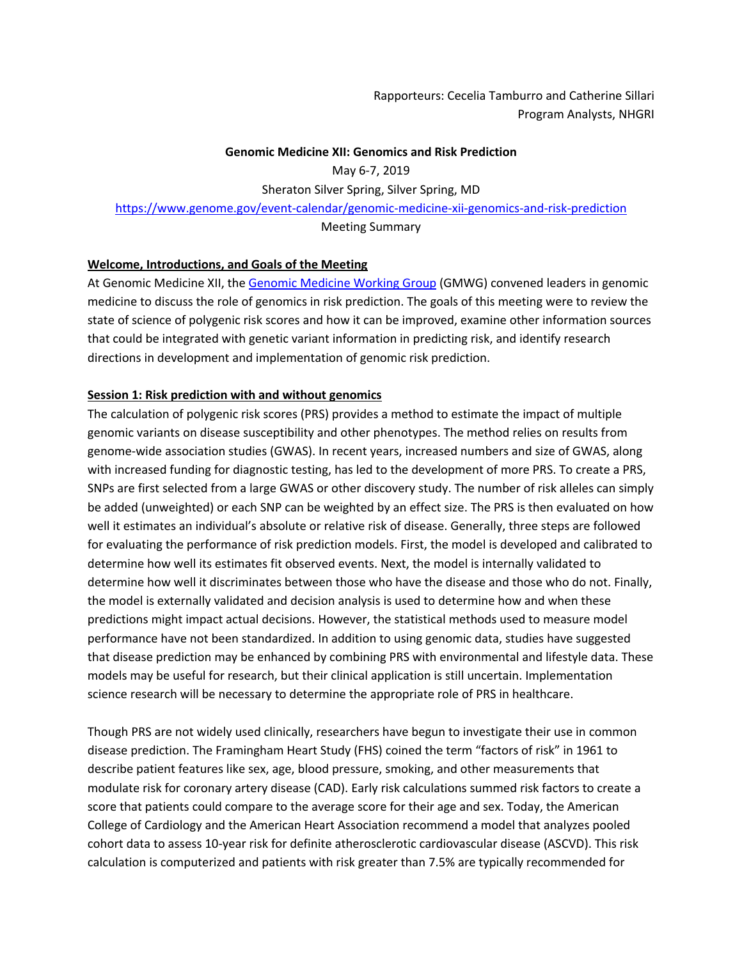Rapporteurs: Cecelia Tamburro and Catherine Sillari Program Analysts, NHGRI

#### **Genomic Medicine XII: Genomics and Risk Prediction**

May 6-7, 2019 Sheraton Silver Spring, Silver Spring, MD https://www.genome.gov/event-calendar/genomic-medicine-xii-genomics-and-risk-prediction Meeting Summary

#### **Welcome, Introductions, and Goals of the Meeting**

At Genomic Medicine XII, the Genomic Medicine Working Group (GMWG) convened leaders in genomic medicine to discuss the role of genomics in risk prediction. The goals of this meeting were to review the state of science of polygenic risk scores and how it can be improved, examine other information sources that could be integrated with genetic variant information in predicting risk, and identify research directions in development and implementation of genomic risk prediction.

# **Session 1: Risk prediction with and without genomics**

The calculation of polygenic risk scores (PRS) provides a method to estimate the impact of multiple genomic variants on disease susceptibility and other phenotypes. The method relies on results from genome-wide association studies (GWAS). In recent years, increased numbers and size of GWAS, along with increased funding for diagnostic testing, has led to the development of more PRS. To create a PRS, SNPs are first selected from a large GWAS or other discovery study. The number of risk alleles can simply be added (unweighted) or each SNP can be weighted by an effect size. The PRS is then evaluated on how well it estimates an individual's absolute or relative risk of disease. Generally, three steps are followed for evaluating the performance of risk prediction models. First, the model is developed and calibrated to determine how well its estimates fit observed events. Next, the model is internally validated to determine how well it discriminates between those who have the disease and those who do not. Finally, the model is externally validated and decision analysis is used to determine how and when these predictions might impact actual decisions. However, the statistical methods used to measure model performance have not been standardized. In addition to using genomic data, studies have suggested that disease prediction may be enhanced by combining PRS with environmental and lifestyle data. These models may be useful for research, but their clinical application is still uncertain. Implementation science research will be necessary to determine the appropriate role of PRS in healthcare.

Though PRS are not widely used clinically, researchers have begun to investigate their use in common disease prediction. The Framingham Heart Study (FHS) coined the term "factors of risk" in 1961 to describe patient features like sex, age, blood pressure, smoking, and other measurements that modulate risk for coronary artery disease (CAD). Early risk calculations summed risk factors to create a score that patients could compare to the average score for their age and sex. Today, the American College of Cardiology and the American Heart Association recommend a model that analyzes pooled cohort data to assess 10-year risk for definite atherosclerotic cardiovascular disease (ASCVD). This risk calculation is computerized and patients with risk greater than 7.5% are typically recommended for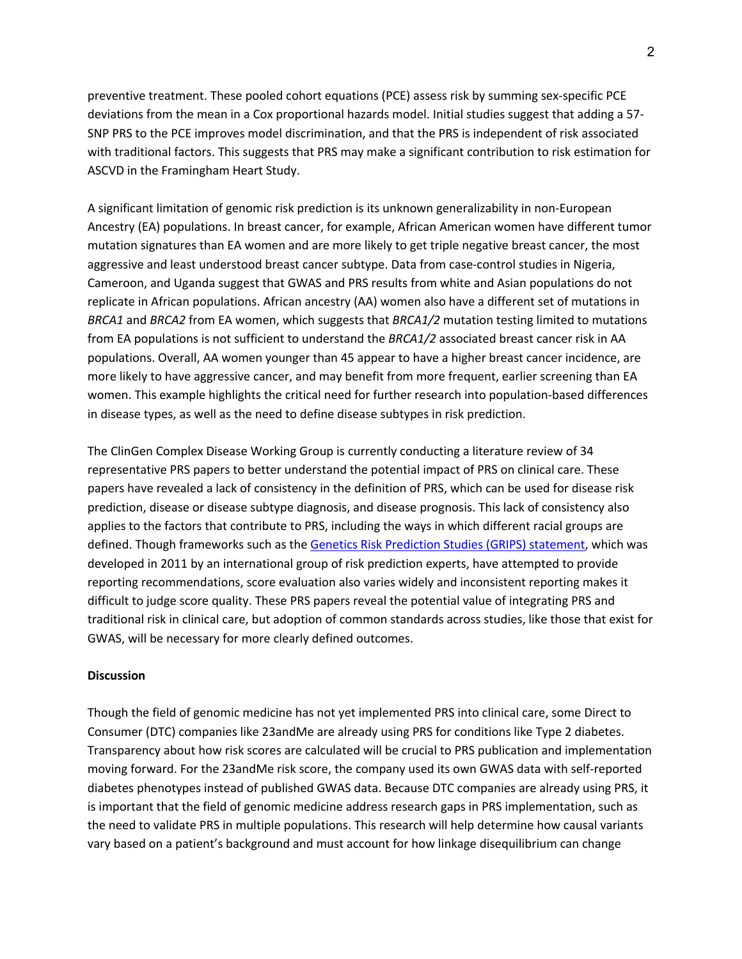preventive treatment. These pooled cohort equations (PCE) assess risk by summing sex-specific PCE deviations from the mean in a Cox proportional hazards model. Initial studies suggest that adding a 57- SNP PRS to the PCE improves model discrimination, and that the PRS is independent of risk associated with traditional factors. This suggests that PRS may make a significant contribution to risk estimation for ASCVD in the Framingham Heart Study.

A significant limitation of genomic risk prediction is its unknown generalizability in non-European Ancestry (EA) populations. In breast cancer, for example, African American women have different tumor mutation signatures than EA women and are more likely to get triple negative breast cancer, the most aggressive and least understood breast cancer subtype. Data from case-control studies in Nigeria, Cameroon, and Uganda suggest that GWAS and PRS results from white and Asian populations do not replicate in African populations. African ancestry (AA) women also have a different set of mutations in *BRCA1* and *BRCA2* from EA women, which suggests that *BRCA1/2* mutation testing limited to mutations from EA populations is not sufficient to understand the *BRCA1/2* associated breast cancer risk in AA populations. Overall, AA women younger than 45 appear to have a higher breast cancer incidence, are more likely to have aggressive cancer, and may benefit from more frequent, earlier screening than EA women. This example highlights the critical need for further research into population-based differences in disease types, as well as the need to define disease subtypes in risk prediction.

The ClinGen Complex Disease Working Group is currently conducting a literature review of 34 representative PRS papers to better understand the potential impact of PRS on clinical care. These papers have revealed a lack of consistency in the definition of PRS, which can be used for disease risk prediction, disease or disease subtype diagnosis, and disease prognosis. This lack of consistency also applies to the factors that contribute to PRS, including the ways in which different racial groups are defined. Though frameworks such as the Genetics Risk Prediction Studies (GRIPS) statement, which was developed in 2011 by an international group of risk prediction experts, have attempted to provide reporting recommendations, score evaluation also varies widely and inconsistent reporting makes it difficult to judge score quality. These PRS papers reveal the potential value of integrating PRS and traditional risk in clinical care, but adoption of common standards across studies, like those that exist for GWAS, will be necessary for more clearly defined outcomes.

# **Discussion**

Though the field of genomic medicine has not yet implemented PRS into clinical care, some Direct to Consumer (DTC) companies like 23andMe are already using PRS for conditions like Type 2 diabetes. Transparency about how risk scores are calculated will be crucial to PRS publication and implementation moving forward. For the 23andMe risk score, the company used its own GWAS data with self-reported diabetes phenotypes instead of published GWAS data. Because DTC companies are already using PRS, it is important that the field of genomic medicine address research gaps in PRS implementation, such as the need to validate PRS in multiple populations. This research will help determine how causal variants vary based on a patient's background and must account for how linkage disequilibrium can change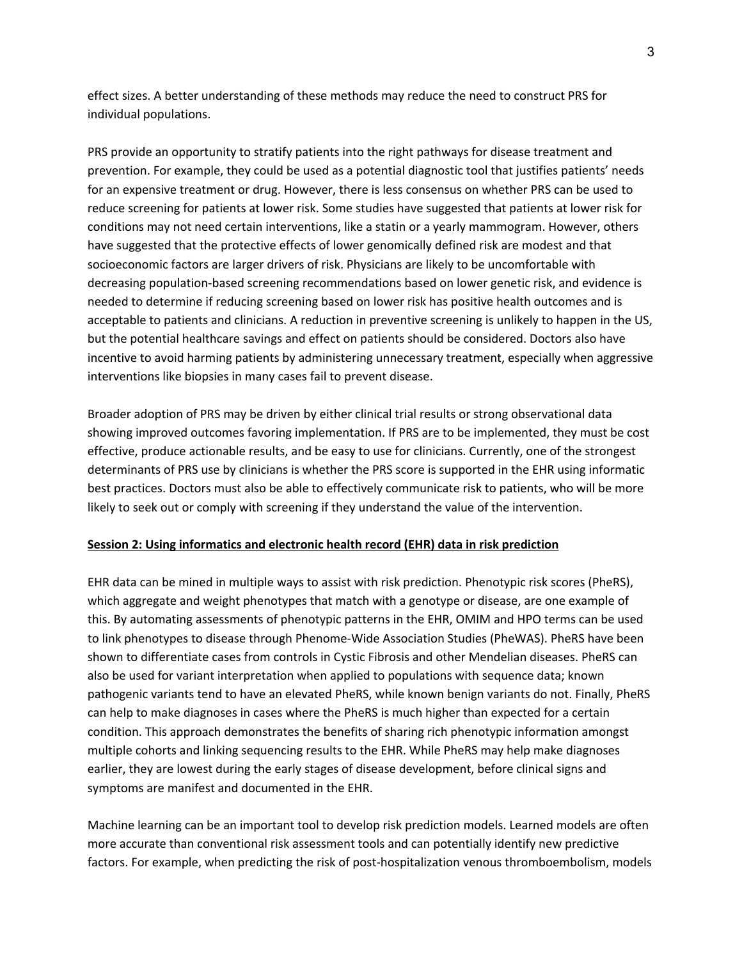effect sizes. A better understanding of these methods may reduce the need to construct PRS for individual populations.

PRS provide an opportunity to stratify patients into the right pathways for disease treatment and prevention. For example, they could be used as a potential diagnostic tool that justifies patients' needs for an expensive treatment or drug. However, there is less consensus on whether PRS can be used to reduce screening for patients at lower risk. Some studies have suggested that patients at lower risk for conditions may not need certain interventions, like a statin or a yearly mammogram. However, others have suggested that the protective effects of lower genomically defined risk are modest and that socioeconomic factors are larger drivers of risk. Physicians are likely to be uncomfortable with decreasing population-based screening recommendations based on lower genetic risk, and evidence is needed to determine if reducing screening based on lower risk has positive health outcomes and is acceptable to patients and clinicians. A reduction in preventive screening is unlikely to happen in the US, but the potential healthcare savings and effect on patients should be considered. Doctors also have incentive to avoid harming patients by administering unnecessary treatment, especially when aggressive interventions like biopsies in many cases fail to prevent disease.

Broader adoption of PRS may be driven by either clinical trial results or strong observational data showing improved outcomes favoring implementation. If PRS are to be implemented, they must be cost effective, produce actionable results, and be easy to use for clinicians. Currently, one of the strongest determinants of PRS use by clinicians is whether the PRS score is supported in the EHR using informatic best practices. Doctors must also be able to effectively communicate risk to patients, who will be more likely to seek out or comply with screening if they understand the value of the intervention.

# **Session 2: Using informatics and electronic health record (EHR) data in risk prediction**

EHR data can be mined in multiple ways to assist with risk prediction. Phenotypic risk scores (PheRS), which aggregate and weight phenotypes that match with a genotype or disease, are one example of this. By automating assessments of phenotypic patterns in the EHR, OMIM and HPO terms can be used to link phenotypes to disease through Phenome-Wide Association Studies (PheWAS). PheRS have been shown to differentiate cases from controls in Cystic Fibrosis and other Mendelian diseases. PheRS can also be used for variant interpretation when applied to populations with sequence data; known pathogenic variants tend to have an elevated PheRS, while known benign variants do not. Finally, PheRS can help to make diagnoses in cases where the PheRS is much higher than expected for a certain condition. This approach demonstrates the benefits of sharing rich phenotypic information amongst multiple cohorts and linking sequencing results to the EHR. While PheRS may help make diagnoses earlier, they are lowest during the early stages of disease development, before clinical signs and symptoms are manifest and documented in the EHR.

Machine learning can be an important tool to develop risk prediction models. Learned models are often more accurate than conventional risk assessment tools and can potentially identify new predictive factors. For example, when predicting the risk of post-hospitalization venous thromboembolism, models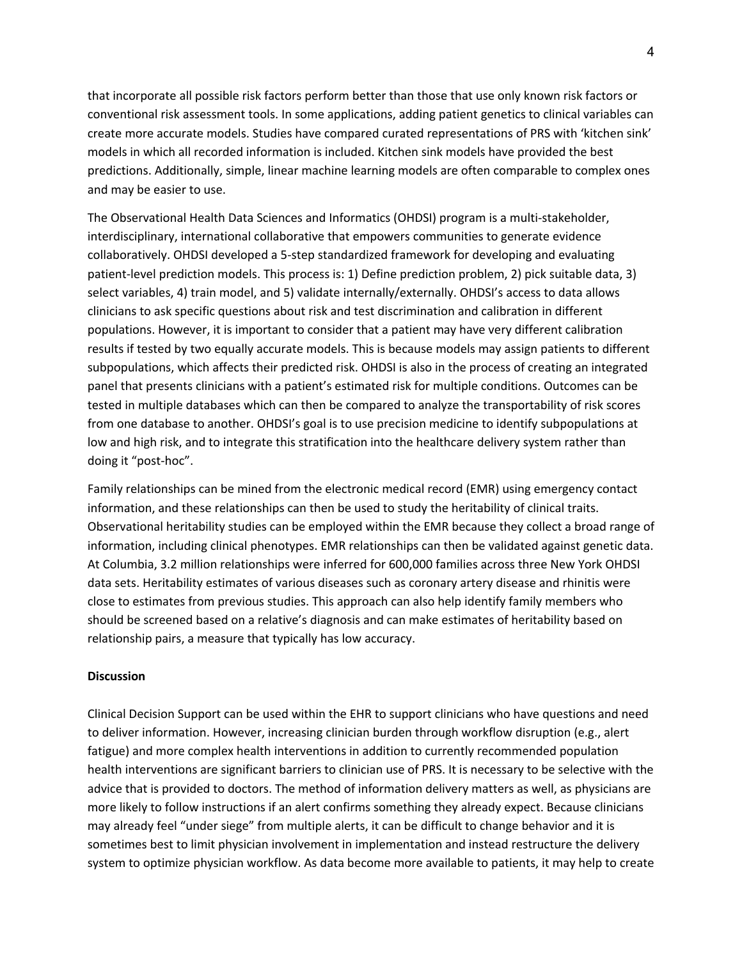that incorporate all possible risk factors perform better than those that use only known risk factors or conventional risk assessment tools. In some applications, adding patient genetics to clinical variables can create more accurate models. Studies have compared curated representations of PRS with 'kitchen sink' models in which all recorded information is included. Kitchen sink models have provided the best predictions. Additionally, simple, linear machine learning models are often comparable to complex ones and may be easier to use.

The Observational Health Data Sciences and Informatics (OHDSI) program is a multi-stakeholder, interdisciplinary, international collaborative that empowers communities to generate evidence collaboratively. OHDSI developed a 5-step standardized framework for developing and evaluating patient-level prediction models. This process is: 1) Define prediction problem, 2) pick suitable data, 3) select variables, 4) train model, and 5) validate internally/externally. OHDSI's access to data allows clinicians to ask specific questions about risk and test discrimination and calibration in different populations. However, it is important to consider that a patient may have very different calibration results if tested by two equally accurate models. This is because models may assign patients to different subpopulations, which affects their predicted risk. OHDSI is also in the process of creating an integrated panel that presents clinicians with a patient's estimated risk for multiple conditions. Outcomes can be tested in multiple databases which can then be compared to analyze the transportability of risk scores from one database to another. OHDSI's goal is to use precision medicine to identify subpopulations at low and high risk, and to integrate this stratification into the healthcare delivery system rather than doing it "post-hoc".

Family relationships can be mined from the electronic medical record (EMR) using emergency contact information, and these relationships can then be used to study the heritability of clinical traits. Observational heritability studies can be employed within the EMR because they collect a broad range of information, including clinical phenotypes. EMR relationships can then be validated against genetic data. At Columbia, 3.2 million relationships were inferred for 600,000 families across three New York OHDSI data sets. Heritability estimates of various diseases such as coronary artery disease and rhinitis were close to estimates from previous studies. This approach can also help identify family members who should be screened based on a relative's diagnosis and can make estimates of heritability based on relationship pairs, a measure that typically has low accuracy.

## **Discussion**

Clinical Decision Support can be used within the EHR to support clinicians who have questions and need to deliver information. However, increasing clinician burden through workflow disruption (e.g., alert fatigue) and more complex health interventions in addition to currently recommended population health interventions are significant barriers to clinician use of PRS. It is necessary to be selective with the advice that is provided to doctors. The method of information delivery matters as well, as physicians are more likely to follow instructions if an alert confirms something they already expect. Because clinicians may already feel "under siege" from multiple alerts, it can be difficult to change behavior and it is sometimes best to limit physician involvement in implementation and instead restructure the delivery system to optimize physician workflow. As data become more available to patients, it may help to create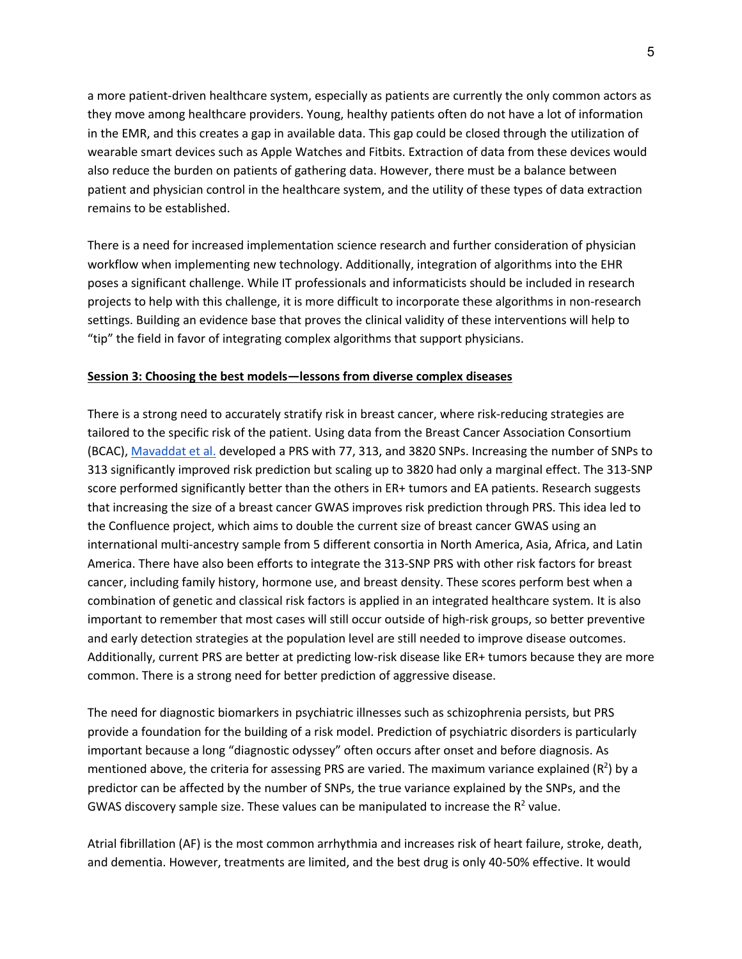a more patient-driven healthcare system, especially as patients are currently the only common actors as they move among healthcare providers. Young, healthy patients often do not have a lot of information in the EMR, and this creates a gap in available data. This gap could be closed through the utilization of wearable smart devices such as Apple Watches and Fitbits. Extraction of data from these devices would also reduce the burden on patients of gathering data. However, there must be a balance between patient and physician control in the healthcare system, and the utility of these types of data extraction remains to be established.

There is a need for increased implementation science research and further consideration of physician workflow when implementing new technology. Additionally, integration of algorithms into the EHR poses a significant challenge. While IT professionals and informaticists should be included in research projects to help with this challenge, it is more difficult to incorporate these algorithms in non-research settings. Building an evidence base that proves the clinical validity of these interventions will help to "tip" the field in favor of integrating complex algorithms that support physicians.

# **Session 3: Choosing the best models—lessons from diverse complex diseases**

There is a strong need to accurately stratify risk in breast cancer, where risk-reducing strategies are tailored to the specific risk of the patient. Using data from the Breast Cancer Association Consortium (BCAC), Mavaddat et al. developed a PRS with 77, 313, and 3820 SNPs. Increasing the number of SNPs to 313 significantly improved risk prediction but scaling up to 3820 had only a marginal effect. The 313-SNP score performed significantly better than the others in ER+ tumors and EA patients. Research suggests that increasing the size of a breast cancer GWAS improves risk prediction through PRS. This idea led to the Confluence project, which aims to double the current size of breast cancer GWAS using an international multi-ancestry sample from 5 different consortia in North America, Asia, Africa, and Latin America. There have also been efforts to integrate the 313-SNP PRS with other risk factors for breast cancer, including family history, hormone use, and breast density. These scores perform best when a combination of genetic and classical risk factors is applied in an integrated healthcare system. It is also important to remember that most cases will still occur outside of high-risk groups, so better preventive and early detection strategies at the population level are still needed to improve disease outcomes. Additionally, current PRS are better at predicting low-risk disease like ER+ tumors because they are more common. There is a strong need for better prediction of aggressive disease.

The need for diagnostic biomarkers in psychiatric illnesses such as schizophrenia persists, but PRS provide a foundation for the building of a risk model. Prediction of psychiatric disorders is particularly important because a long "diagnostic odyssey" often occurs after onset and before diagnosis. As mentioned above, the criteria for assessing PRS are varied. The maximum variance explained ( $R^2$ ) by a predictor can be affected by the number of SNPs, the true variance explained by the SNPs, and the GWAS discovery sample size. These values can be manipulated to increase the  $R^2$  value.

Atrial fibrillation (AF) is the most common arrhythmia and increases risk of heart failure, stroke, death, and dementia. However, treatments are limited, and the best drug is only 40-50% effective. It would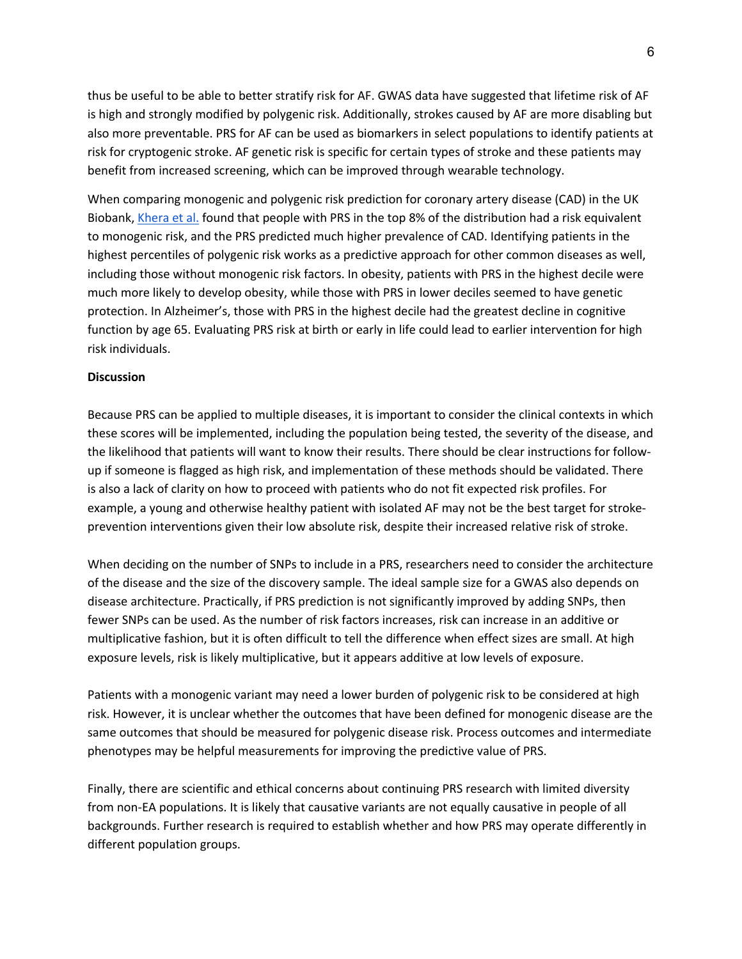thus be useful to be able to better stratify risk for AF. GWAS data have suggested that lifetime risk of AF is high and strongly modified by polygenic risk. Additionally, strokes caused by AF are more disabling but also more preventable. PRS for AF can be used as biomarkers in select populations to identify patients at risk for cryptogenic stroke. AF genetic risk is specific for certain types of stroke and these patients may benefit from increased screening, which can be improved through wearable technology.

When comparing monogenic and polygenic risk prediction for coronary artery disease (CAD) in the UK Biobank, Khera et al. found that people with PRS in the top 8% of the distribution had a risk equivalent to monogenic risk, and the PRS predicted much higher prevalence of CAD. Identifying patients in the highest percentiles of polygenic risk works as a predictive approach for other common diseases as well, including those without monogenic risk factors. In obesity, patients with PRS in the highest decile were much more likely to develop obesity, while those with PRS in lower deciles seemed to have genetic protection. In Alzheimer's, those with PRS in the highest decile had the greatest decline in cognitive function by age 65. Evaluating PRS risk at birth or early in life could lead to earlier intervention for high risk individuals.

# **Discussion**

Because PRS can be applied to multiple diseases, it is important to consider the clinical contexts in which these scores will be implemented, including the population being tested, the severity of the disease, and the likelihood that patients will want to know their results. There should be clear instructions for followup if someone is flagged as high risk, and implementation of these methods should be validated. There is also a lack of clarity on how to proceed with patients who do not fit expected risk profiles. For example, a young and otherwise healthy patient with isolated AF may not be the best target for strokeprevention interventions given their low absolute risk, despite their increased relative risk of stroke.

When deciding on the number of SNPs to include in a PRS, researchers need to consider the architecture of the disease and the size of the discovery sample. The ideal sample size for a GWAS also depends on disease architecture. Practically, if PRS prediction is not significantly improved by adding SNPs, then fewer SNPs can be used. As the number of risk factors increases, risk can increase in an additive or multiplicative fashion, but it is often difficult to tell the difference when effect sizes are small. At high exposure levels, risk is likely multiplicative, but it appears additive at low levels of exposure.

Patients with a monogenic variant may need a lower burden of polygenic risk to be considered at high risk. However, it is unclear whether the outcomes that have been defined for monogenic disease are the same outcomes that should be measured for polygenic disease risk. Process outcomes and intermediate phenotypes may be helpful measurements for improving the predictive value of PRS.

Finally, there are scientific and ethical concerns about continuing PRS research with limited diversity from non-EA populations. It is likely that causative variants are not equally causative in people of all backgrounds. Further research is required to establish whether and how PRS may operate differently in different population groups.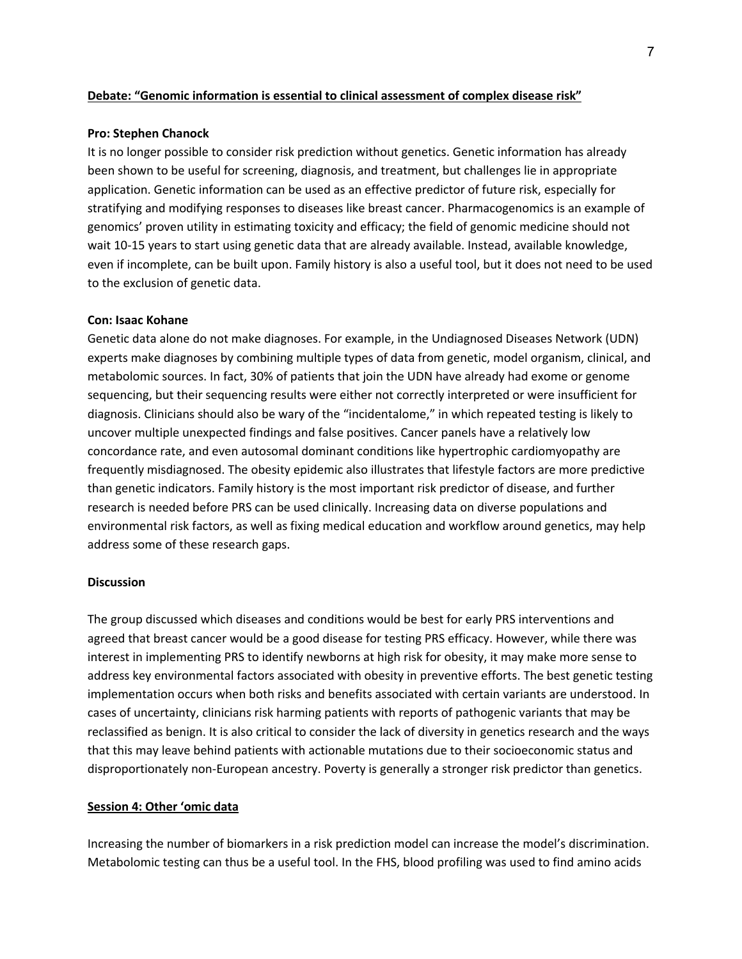#### **Debate: "Genomic information is essential to clinical assessment of complex disease risk"**

#### **Pro: Stephen Chanock**

It is no longer possible to consider risk prediction without genetics. Genetic information has already been shown to be useful for screening, diagnosis, and treatment, but challenges lie in appropriate application. Genetic information can be used as an effective predictor of future risk, especially for stratifying and modifying responses to diseases like breast cancer. Pharmacogenomics is an example of genomics' proven utility in estimating toxicity and efficacy; the field of genomic medicine should not wait 10-15 years to start using genetic data that are already available. Instead, available knowledge, even if incomplete, can be built upon. Family history is also a useful tool, but it does not need to be used to the exclusion of genetic data.

#### **Con: Isaac Kohane**

Genetic data alone do not make diagnoses. For example, in the Undiagnosed Diseases Network (UDN) experts make diagnoses by combining multiple types of data from genetic, model organism, clinical, and metabolomic sources. In fact, 30% of patients that join the UDN have already had exome or genome sequencing, but their sequencing results were either not correctly interpreted or were insufficient for diagnosis. Clinicians should also be wary of the "incidentalome," in which repeated testing is likely to uncover multiple unexpected findings and false positives. Cancer panels have a relatively low concordance rate, and even autosomal dominant conditions like hypertrophic cardiomyopathy are frequently misdiagnosed. The obesity epidemic also illustrates that lifestyle factors are more predictive than genetic indicators. Family history is the most important risk predictor of disease, and further research is needed before PRS can be used clinically. Increasing data on diverse populations and environmental risk factors, as well as fixing medical education and workflow around genetics, may help address some of these research gaps.

## **Discussion**

The group discussed which diseases and conditions would be best for early PRS interventions and agreed that breast cancer would be a good disease for testing PRS efficacy. However, while there was interest in implementing PRS to identify newborns at high risk for obesity, it may make more sense to address key environmental factors associated with obesity in preventive efforts. The best genetic testing implementation occurs when both risks and benefits associated with certain variants are understood. In cases of uncertainty, clinicians risk harming patients with reports of pathogenic variants that may be reclassified as benign. It is also critical to consider the lack of diversity in genetics research and the ways that this may leave behind patients with actionable mutations due to their socioeconomic status and disproportionately non-European ancestry. Poverty is generally a stronger risk predictor than genetics.

## **Session 4: Other 'omic data**

Increasing the number of biomarkers in a risk prediction model can increase the model's discrimination. Metabolomic testing can thus be a useful tool. In the FHS, blood profiling was used to find amino acids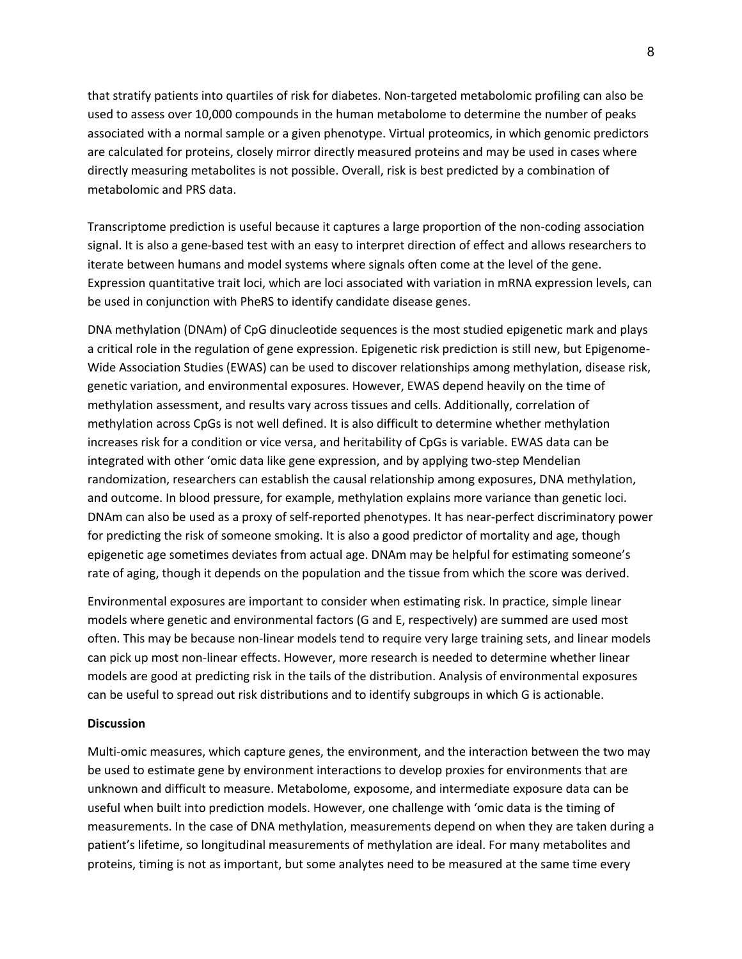that stratify patients into quartiles of risk for diabetes. Non-targeted metabolomic profiling can also be used to assess over 10,000 compounds in the human metabolome to determine the number of peaks associated with a normal sample or a given phenotype. Virtual proteomics, in which genomic predictors are calculated for proteins, closely mirror directly measured proteins and may be used in cases where directly measuring metabolites is not possible. Overall, risk is best predicted by a combination of metabolomic and PRS data.

Transcriptome prediction is useful because it captures a large proportion of the non-coding association signal. It is also a gene-based test with an easy to interpret direction of effect and allows researchers to iterate between humans and model systems where signals often come at the level of the gene. Expression quantitative trait loci, which are loci associated with variation in mRNA expression levels, can be used in conjunction with PheRS to identify candidate disease genes.

DNA methylation (DNAm) of CpG dinucleotide sequences is the most studied epigenetic mark and plays a critical role in the regulation of gene expression. Epigenetic risk prediction is still new, but Epigenome-Wide Association Studies (EWAS) can be used to discover relationships among methylation, disease risk, genetic variation, and environmental exposures. However, EWAS depend heavily on the time of methylation assessment, and results vary across tissues and cells. Additionally, correlation of methylation across CpGs is not well defined. It is also difficult to determine whether methylation increases risk for a condition or vice versa, and heritability of CpGs is variable. EWAS data can be integrated with other 'omic data like gene expression, and by applying two-step Mendelian randomization, researchers can establish the causal relationship among exposures, DNA methylation, and outcome. In blood pressure, for example, methylation explains more variance than genetic loci. DNAm can also be used as a proxy of self-reported phenotypes. It has near-perfect discriminatory power for predicting the risk of someone smoking. It is also a good predictor of mortality and age, though epigenetic age sometimes deviates from actual age. DNAm may be helpful for estimating someone's rate of aging, though it depends on the population and the tissue from which the score was derived.

Environmental exposures are important to consider when estimating risk. In practice, simple linear models where genetic and environmental factors (G and E, respectively) are summed are used most often. This may be because non-linear models tend to require very large training sets, and linear models can pick up most non-linear effects. However, more research is needed to determine whether linear models are good at predicting risk in the tails of the distribution. Analysis of environmental exposures can be useful to spread out risk distributions and to identify subgroups in which G is actionable.

#### **Discussion**

Multi-omic measures, which capture genes, the environment, and the interaction between the two may be used to estimate gene by environment interactions to develop proxies for environments that are unknown and difficult to measure. Metabolome, exposome, and intermediate exposure data can be useful when built into prediction models. However, one challenge with 'omic data is the timing of measurements. In the case of DNA methylation, measurements depend on when they are taken during a patient's lifetime, so longitudinal measurements of methylation are ideal. For many metabolites and proteins, timing is not as important, but some analytes need to be measured at the same time every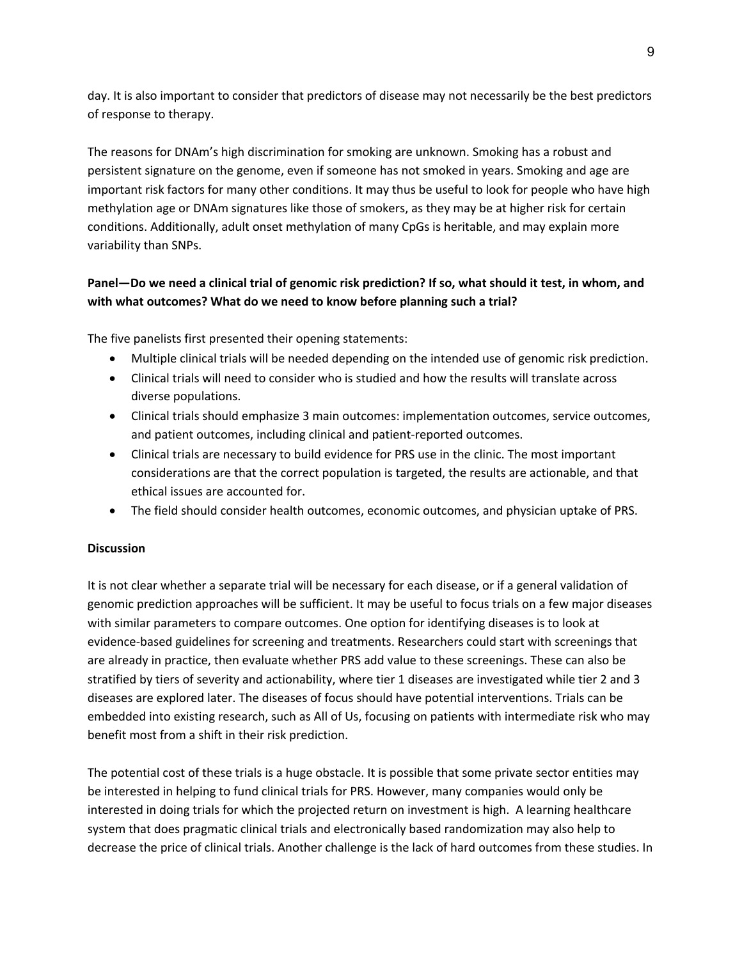day. It is also important to consider that predictors of disease may not necessarily be the best predictors of response to therapy.

The reasons for DNAm's high discrimination for smoking are unknown. Smoking has a robust and persistent signature on the genome, even if someone has not smoked in years. Smoking and age are important risk factors for many other conditions. It may thus be useful to look for people who have high methylation age or DNAm signatures like those of smokers, as they may be at higher risk for certain conditions. Additionally, adult onset methylation of many CpGs is heritable, and may explain more variability than SNPs.

# **Panel—Do we need a clinical trial of genomic risk prediction? If so, what should it test, in whom, and with what outcomes? What do we need to know before planning such a trial?**

The five panelists first presented their opening statements:

- Multiple clinical trials will be needed depending on the intended use of genomic risk prediction.
- Clinical trials will need to consider who is studied and how the results will translate across diverse populations.
- Clinical trials should emphasize 3 main outcomes: implementation outcomes, service outcomes, and patient outcomes, including clinical and patient-reported outcomes.
- Clinical trials are necessary to build evidence for PRS use in the clinic. The most important considerations are that the correct population is targeted, the results are actionable, and that ethical issues are accounted for.
- The field should consider health outcomes, economic outcomes, and physician uptake of PRS.

# **Discussion**

It is not clear whether a separate trial will be necessary for each disease, or if a general validation of genomic prediction approaches will be sufficient. It may be useful to focus trials on a few major diseases with similar parameters to compare outcomes. One option for identifying diseases is to look at evidence-based guidelines for screening and treatments. Researchers could start with screenings that are already in practice, then evaluate whether PRS add value to these screenings. These can also be stratified by tiers of severity and actionability, where tier 1 diseases are investigated while tier 2 and 3 diseases are explored later. The diseases of focus should have potential interventions. Trials can be embedded into existing research, such as All of Us, focusing on patients with intermediate risk who may benefit most from a shift in their risk prediction.

The potential cost of these trials is a huge obstacle. It is possible that some private sector entities may be interested in helping to fund clinical trials for PRS. However, many companies would only be interested in doing trials for which the projected return on investment is high. A learning healthcare system that does pragmatic clinical trials and electronically based randomization may also help to decrease the price of clinical trials. Another challenge is the lack of hard outcomes from these studies. In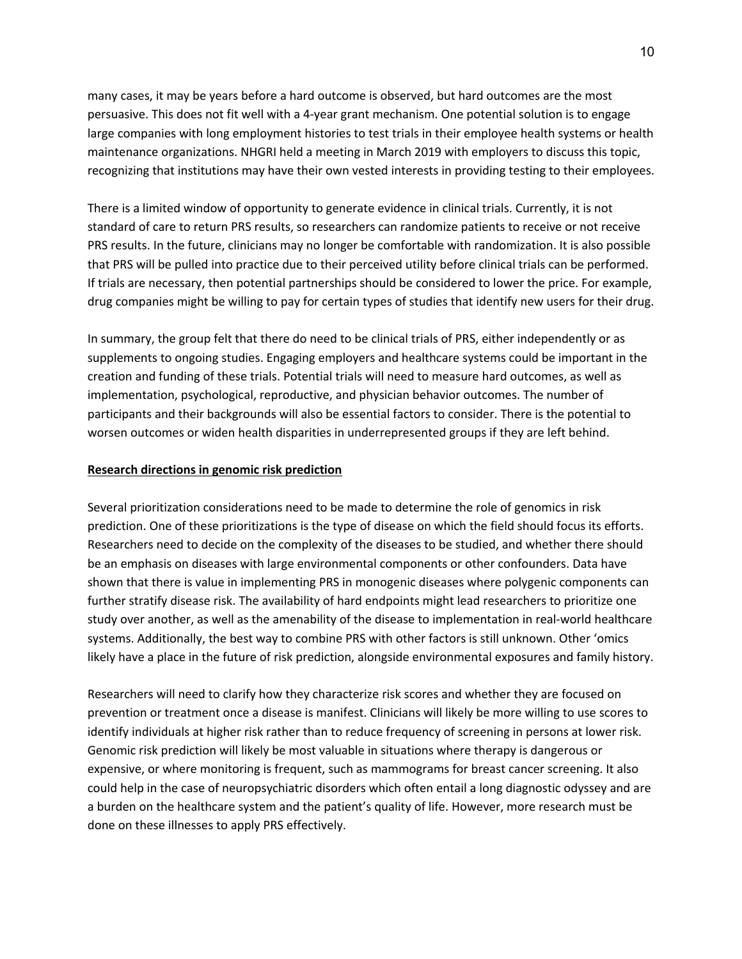many cases, it may be years before a hard outcome is observed, but hard outcomes are the most persuasive. This does not fit well with a 4-year grant mechanism. One potential solution is to engage large companies with long employment histories to test trials in their employee health systems or health maintenance organizations. NHGRI held a meeting in March 2019 with employers to discuss this topic, recognizing that institutions may have their own vested interests in providing testing to their employees.

There is a limited window of opportunity to generate evidence in clinical trials. Currently, it is not standard of care to return PRS results, so researchers can randomize patients to receive or not receive PRS results. In the future, clinicians may no longer be comfortable with randomization. It is also possible that PRS will be pulled into practice due to their perceived utility before clinical trials can be performed. If trials are necessary, then potential partnerships should be considered to lower the price. For example, drug companies might be willing to pay for certain types of studies that identify new users for their drug.

In summary, the group felt that there do need to be clinical trials of PRS, either independently or as supplements to ongoing studies. Engaging employers and healthcare systems could be important in the creation and funding of these trials. Potential trials will need to measure hard outcomes, as well as implementation, psychological, reproductive, and physician behavior outcomes. The number of participants and their backgrounds will also be essential factors to consider. There is the potential to worsen outcomes or widen health disparities in underrepresented groups if they are left behind.

# **Research directions in genomic risk prediction**

Several prioritization considerations need to be made to determine the role of genomics in risk prediction. One of these prioritizations is the type of disease on which the field should focus its efforts. Researchers need to decide on the complexity of the diseases to be studied, and whether there should be an emphasis on diseases with large environmental components or other confounders. Data have shown that there is value in implementing PRS in monogenic diseases where polygenic components can further stratify disease risk. The availability of hard endpoints might lead researchers to prioritize one study over another, as well as the amenability of the disease to implementation in real-world healthcare systems. Additionally, the best way to combine PRS with other factors is still unknown. Other 'omics likely have a place in the future of risk prediction, alongside environmental exposures and family history.

Researchers will need to clarify how they characterize risk scores and whether they are focused on prevention or treatment once a disease is manifest. Clinicians will likely be more willing to use scores to identify individuals at higher risk rather than to reduce frequency of screening in persons at lower risk. Genomic risk prediction will likely be most valuable in situations where therapy is dangerous or expensive, or where monitoring is frequent, such as mammograms for breast cancer screening. It also could help in the case of neuropsychiatric disorders which often entail a long diagnostic odyssey and are a burden on the healthcare system and the patient's quality of life. However, more research must be done on these illnesses to apply PRS effectively.